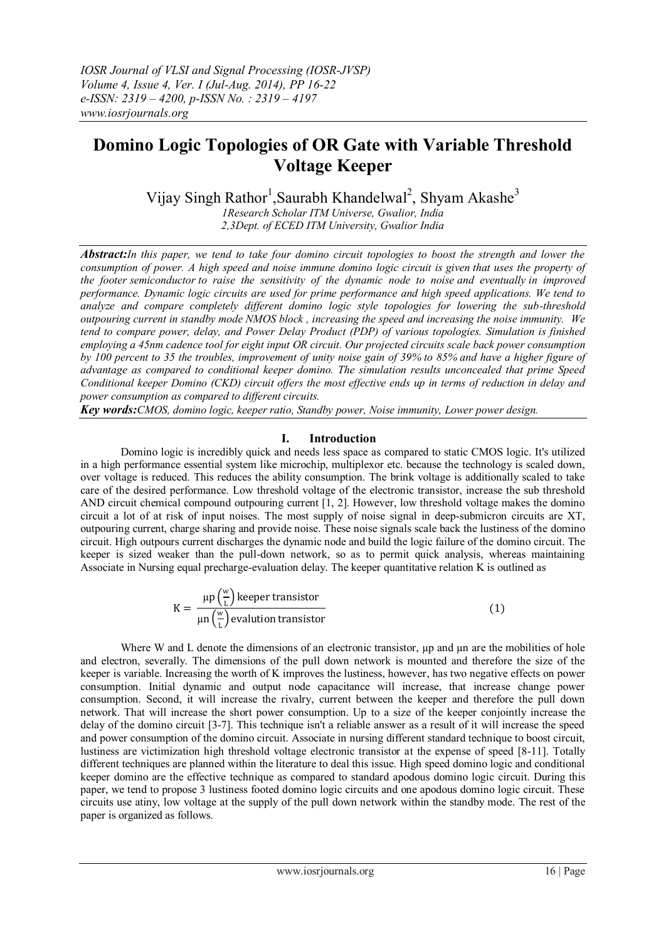# **Domino Logic Topologies of OR Gate with Variable Threshold Voltage Keeper**

Vijay Singh Rathor<sup>1</sup>, Saurabh Khandelwal<sup>2</sup>, Shyam Akashe<sup>3</sup>

*1Research Scholar ITM Universe, Gwalior, India 2,3Dept. of ECED ITM University, Gwalior India*

*Abstract:In this paper, we tend to take four domino circuit topologies to boost the strength and lower the consumption of power. A high speed and noise immune domino logic circuit is given that uses the property of the footer semiconductor to raise the sensitivity of the dynamic node to noise and eventually in improved performance. Dynamic logic circuits are used for prime performance and high speed applications. We tend to analyze and compare completely different domino logic style topologies for lowering the sub-threshold outpouring current in standby mode NMOS block , increasing the speed and increasing the noise immunity. We tend to compare power, delay, and Power Delay Product (PDP) of various topologies. Simulation is finished employing a 45nm cadence tool for eight input OR circuit. Our projected circuits scale back power consumption by 100 percent to 35 the troubles, improvement of unity noise gain of 39% to 85% and have a higher figure of advantage as compared to conditional keeper domino. The simulation results unconcealed that prime Speed Conditional keeper Domino (CKD) circuit offers the most effective ends up in terms of reduction in delay and power consumption as compared to different circuits.*

*Key words:CMOS, domino logic, keeper ratio, Standby power, Noise immunity, Lower power design.*

## **I. Introduction**

Domino logic is incredibly quick and needs less space as compared to static CMOS logic. It's utilized in a high performance essential system like microchip, multiplexor etc. because the technology is scaled down, over voltage is reduced. This reduces the ability consumption. The brink voltage is additionally scaled to take care of the desired performance. Low threshold voltage of the electronic transistor, increase the sub threshold AND circuit chemical compound outpouring current [1, 2]. However, low threshold voltage makes the domino circuit a lot of at risk of input noises. The most supply of noise signal in deep-submicron circuits are XT, outpouring current, charge sharing and provide noise. These noise signals scale back the lustiness of the domino circuit. High outpours current discharges the dynamic node and build the logic failure of the domino circuit. The keeper is sized weaker than the pull-down network, so as to permit quick analysis, whereas maintaining Associate in Nursing equal precharge-evaluation delay. The keeper quantitative relation K is outlined as

$$
K = \frac{\mu p\left(\frac{w}{L}\right) \text{keeper transistor}}{\mu n\left(\frac{w}{L}\right) \text{evaluation transistor}} \tag{1}
$$

Where W and L denote the dimensions of an electronic transistor,  $\mu$  and  $\mu$ n are the mobilities of hole and electron, severally. The dimensions of the pull down network is mounted and therefore the size of the keeper is variable. Increasing the worth of K improves the lustiness, however, has two negative effects on power consumption. Initial dynamic and output node capacitance will increase, that increase change power consumption. Second, it will increase the rivalry, current between the keeper and therefore the pull down network. That will increase the short power consumption. Up to a size of the keeper conjointly increase the delay of the domino circuit [3-7]. This technique isn't a reliable answer as a result of it will increase the speed and power consumption of the domino circuit. Associate in nursing different standard technique to boost circuit, lustiness are victimization high threshold voltage electronic transistor at the expense of speed [8-11]. Totally different techniques are planned within the literature to deal this issue. High speed domino logic and conditional keeper domino are the effective technique as compared to standard apodous domino logic circuit. During this paper, we tend to propose 3 lustiness footed domino logic circuits and one apodous domino logic circuit. These circuits use atiny, low voltage at the supply of the pull down network within the standby mode. The rest of the paper is organized as follows.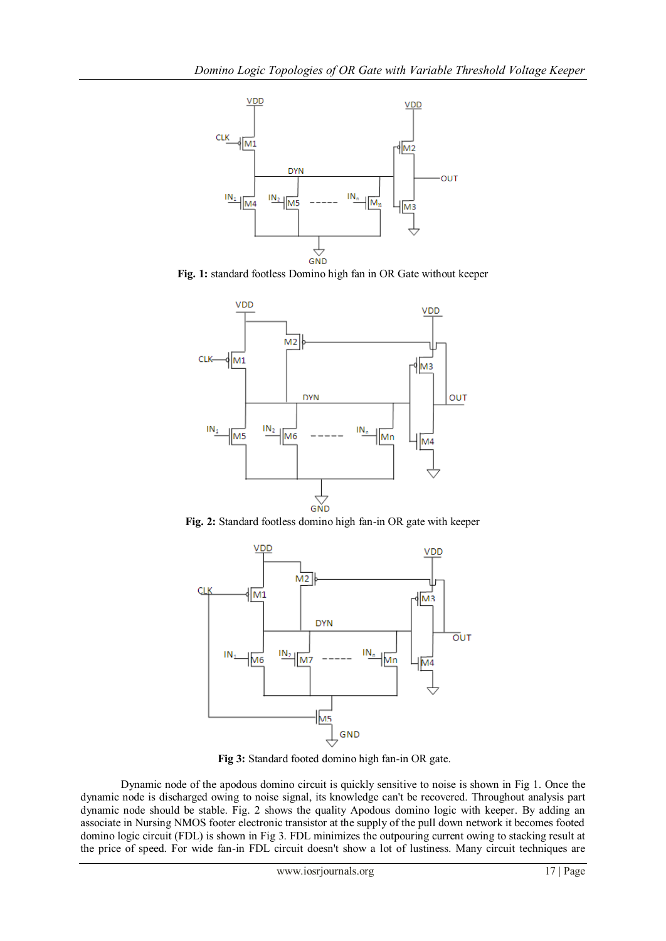

**Fig. 1:** standard footless Domino high fan in OR Gate without keeper



**Fig. 2:** Standard footless domino high fan-in OR gate with keeper



**Fig 3:** Standard footed domino high fan-in OR gate.

Dynamic node of the apodous domino circuit is quickly sensitive to noise is shown in Fig 1. Once the dynamic node is discharged owing to noise signal, its knowledge can't be recovered. Throughout analysis part dynamic node should be stable. Fig. 2 shows the quality Apodous domino logic with keeper. By adding an associate in Nursing NMOS footer electronic transistor at the supply of the pull down network it becomes footed domino logic circuit (FDL) is shown in Fig 3. FDL minimizes the outpouring current owing to stacking result at the price of speed. For wide fan-in FDL circuit doesn't show a lot of lustiness. Many circuit techniques are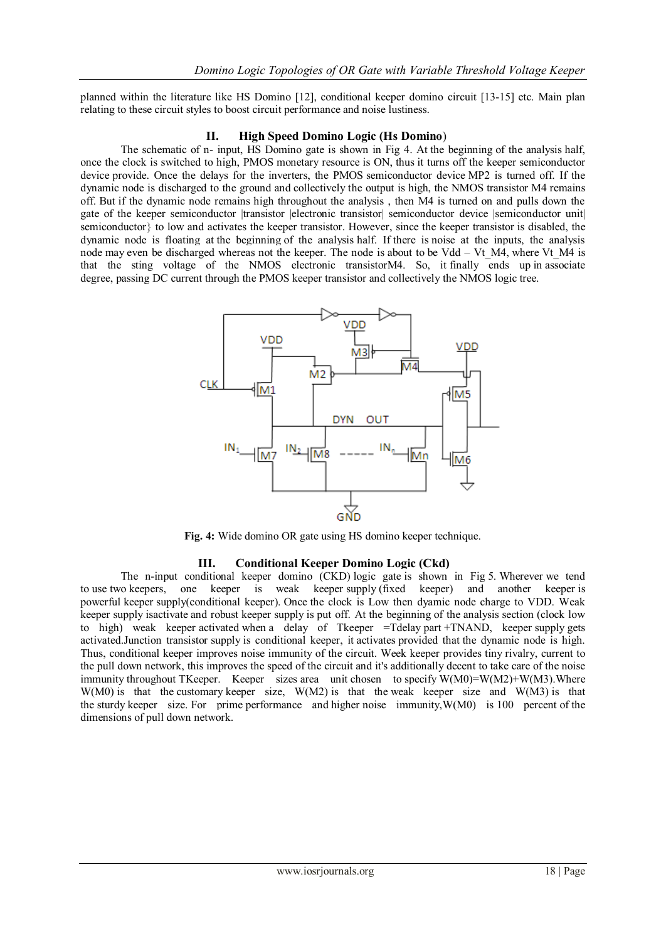planned within the literature like HS Domino [12], conditional keeper domino circuit [13-15] etc. Main plan relating to these circuit styles to boost circuit performance and noise lustiness.

#### **II. High Speed Domino Logic (Hs Domino**)

The schematic of n- input, HS Domino gate is shown in Fig 4. At the beginning of the analysis half, once the clock is switched to high, PMOS monetary resource is ON, thus it turns off the keeper semiconductor device provide. Once the delays for the inverters, the PMOS semiconductor device MP2 is turned off. If the dynamic node is discharged to the ground and collectively the output is high, the NMOS transistor M4 remains off. But if the dynamic node remains high throughout the analysis , then M4 is turned on and pulls down the gate of the keeper semiconductor |transistor |electronic transistor| semiconductor device |semiconductor unit| semiconductor} to low and activates the keeper transistor. However, since the keeper transistor is disabled, the dynamic node is floating at the beginning of the analysis half. If there is noise at the inputs, the analysis node may even be discharged whereas not the keeper. The node is about to be Vdd – Vt  $M4$ , where Vt  $M4$  is that the sting voltage of the NMOS electronic transistorM4. So, it finally ends up in associate degree, passing DC current through the PMOS keeper transistor and collectively the NMOS logic tree.



**Fig. 4:** Wide domino OR gate using HS domino keeper technique.

#### **III. Conditional Keeper Domino Logic (Ckd)**

The n-input conditional keeper domino (CKD) logic gate is shown in Fig 5. Wherever we tend to use two keepers, one keeper is weak keeper supply (fixed keeper) and another keeper is powerful keeper supply(conditional keeper). Once the clock is Low then dyamic node charge to VDD. Weak keeper supply isactivate and robust keeper supply is put off. At the beginning of the analysis section (clock low to high) weak keeper activated when a delay of Tkeeper =Tdelay part +TNAND, keeper supply gets activated.Junction transistor supply is conditional keeper, it activates provided that the dynamic node is high. Thus, conditional keeper improves noise immunity of the circuit. Week keeper provides tiny rivalry, current to the pull down network, this improves the speed of the circuit and it's additionally decent to take care of the noise immunity throughout TKeeper. Keeper sizes area unit chosen to specify W(M0)=W(M2)+W(M3). Where W(M0) is that the customary keeper size, W(M2) is that the weak keeper size and W(M3) is that the sturdy keeper size. For prime performance and higher noise immunity,W(M0) is 100 percent of the dimensions of pull down network.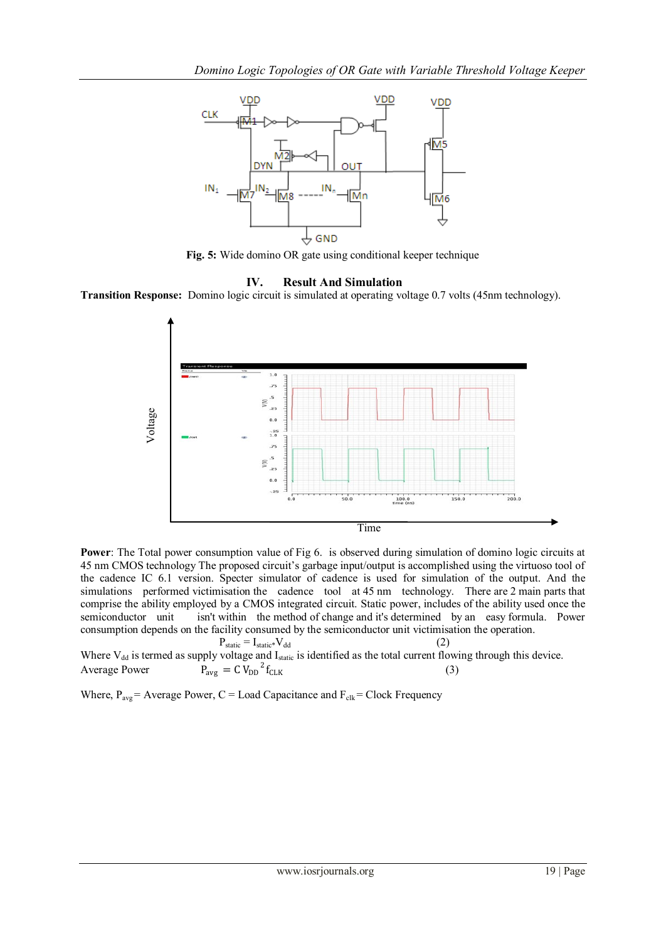

**Fig. 5:** Wide domino OR gate using conditional keeper technique



**Transition Response:** Domino logic circuit is simulated at operating voltage 0.7 volts (45nm technology).



**Power**: The Total power consumption value of Fig 6. is observed during simulation of domino logic circuits at 45 nm CMOS technology The proposed circuit's garbage input/output is accomplished using the virtuoso tool of the cadence IC 6.1 version. Specter simulator of cadence is used for simulation of the output. And the simulations performed victimisation the cadence tool at 45 nm technology. There are 2 main parts that comprise the ability employed by a CMOS integrated circuit. Static power, includes of the ability used once the semiconductor unit isn't within the method of change and it's determined by an easy formula. Power consumption depends on the facility consumed by the semiconductor unit victimisation the operation.

 $P_{static} = I_{static} * V_{dd}$  (2) Where  $V_{dd}$  is termed as supply voltage and  $I_{static}$  is identified as the total current flowing through this device. Average Power  $P_{\text{avg}} = C V_{\text{DD}}^2$  $f_{CLK}$  (3)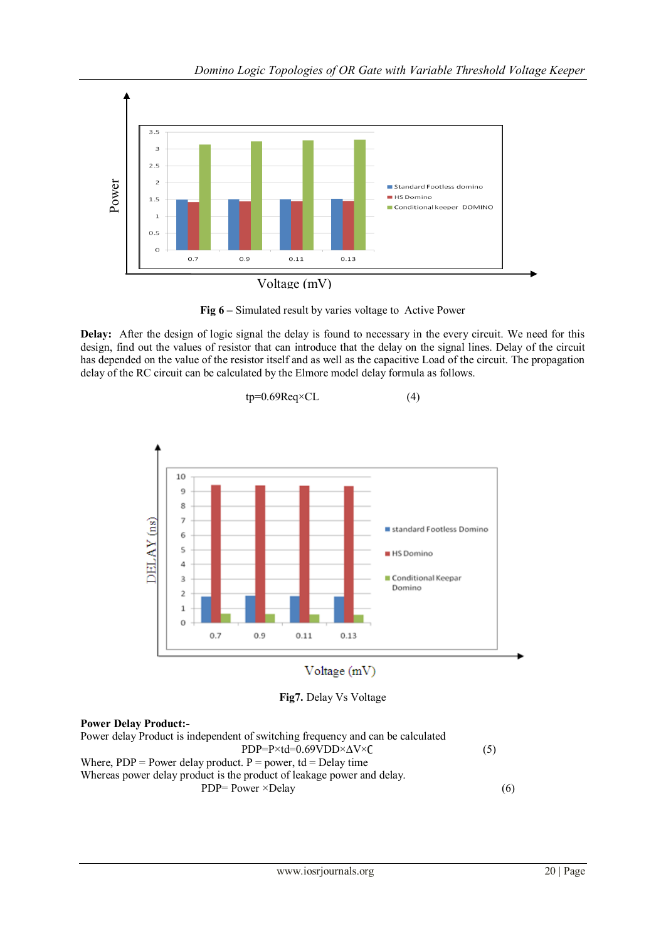

**Fig 6 –** Simulated result by varies voltage to Active Power

**Delay:** After the design of logic signal the delay is found to necessary in the every circuit. We need for this design, find out the values of resistor that can introduce that the delay on the signal lines. Delay of the circuit has depended on the value of the resistor itself and as well as the capacitive Load of the circuit. The propagation delay of the RC circuit can be calculated by the Elmore model delay formula as follows.





**Fig7.** Delay Vs Voltage

# **Power Delay Product:-**

Power delay Product is independent of switching frequency and can be calculated  $PDP = P \times td = 0.69 VDD \times \Delta V \times C$  (5) Where,  $PDP = Power$  delay product.  $P = power$ , td = Delay time Whereas power delay product is the product of leakage power and delay.  $PDP = Power \times Delay$  (6)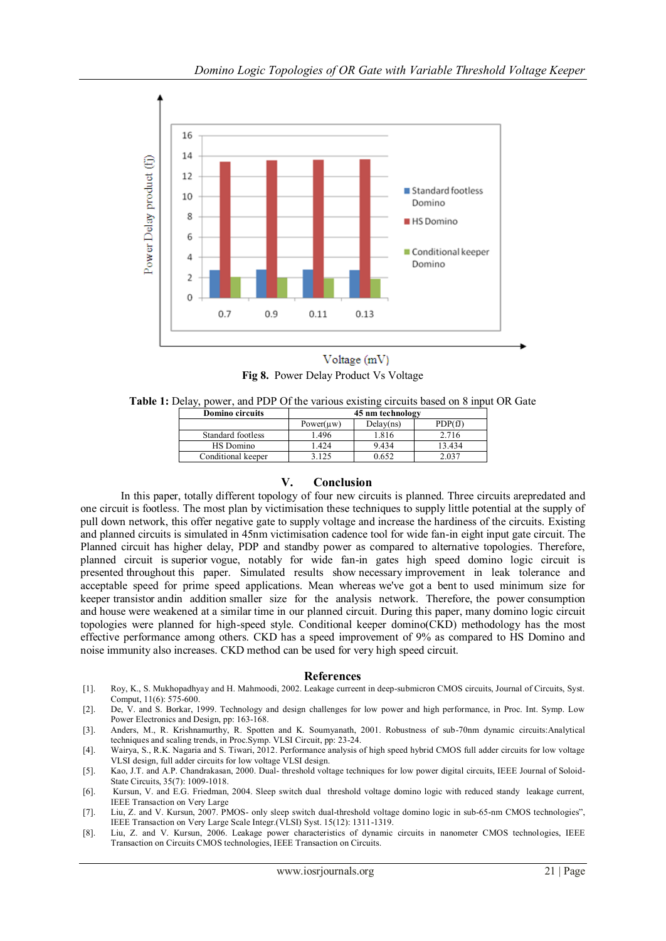

Voltage (mV) **Fig 8.** Power Delay Product Vs Voltage

**Table 1:** Delay, power, and PDP Of the various existing circuits based on 8 input OR Gate

| <b>Domino circuits</b> | 45 nm technology |           |        |
|------------------------|------------------|-----------|--------|
|                        | Power(uw)        | Delay(ns) | PDP(f) |
| Standard footless      | l.496            | 1.816     | 2.716  |
| HS Domino              | 1.424            | 9.434     | 13.434 |
| Conditional keeper     | 3.125            | 0.652     | 2 037  |
|                        |                  |           |        |

### **V. Conclusion**

In this paper, totally different topology of four new circuits is planned. Three circuits arepredated and one circuit is footless. The most plan by victimisation these techniques to supply little potential at the supply of pull down network, this offer negative gate to supply voltage and increase the hardiness of the circuits. Existing and planned circuits is simulated in 45nm victimisation cadence tool for wide fan-in eight input gate circuit. The Planned circuit has higher delay, PDP and standby power as compared to alternative topologies. Therefore, planned circuit is superior vogue, notably for wide fan-in gates high speed domino logic circuit is presented throughout this paper. Simulated results show necessary improvement in leak tolerance and acceptable speed for prime speed applications. Mean whereas we've got a bent to used minimum size for keeper transistor andin addition smaller size for the analysis network. Therefore, the power consumption and house were weakened at a similar time in our planned circuit. During this paper, many domino logic circuit topologies were planned for high-speed style. Conditional keeper domino(CKD) methodology has the most effective performance among others. CKD has a speed improvement of 9% as compared to HS Domino and noise immunity also increases. CKD method can be used for very high speed circuit.

#### **References**

- [1]. Roy, K., S. Mukhopadhyay and H. Mahmoodi, 2002. Leakage curreent in deep-submicron CMOS circuits, Journal of Circuits, Syst. Comput, 11(6): 575-600.
- [2]. De, V. and S. Borkar, 1999. Technology and design challenges for low power and high performance, in Proc. Int. Symp. Low Power Electronics and Design, pp: 163-168.
- [3]. Anders, M., R. Krishnamurthy, R. Spotten and K. Soumyanath, 2001. Robustness of sub-70nm dynamic circuits:Analytical techniques and scaling trends, in Proc.Symp. VLSI Circuit, pp: 23-24.
- [4]. Wairya, S., R.K. Nagaria and S. Tiwari, 2012. Performance analysis of high speed hybrid CMOS full adder circuits for low voltage VLSI design, full adder circuits for low voltage VLSI design.
- [5]. Kao, J.T. and A.P. Chandrakasan, 2000. Dual- threshold voltage techniques for low power digital circuits, IEEE Journal of Soloid-State Circuits, 35(7): 1009-1018.
- [6]. Kursun, V. and E.G. Friedman, 2004. Sleep switch dual threshold voltage domino logic with reduced standy leakage current, IEEE Transaction on Very Large
- [7]. Liu, Z. and V. Kursun, 2007. PMOS- only sleep switch dual-threshold voltage domino logic in sub-65-nm CMOS technologies", IEEE Transaction on Very Large Scale Integr.(VLSI) Syst. 15(12): 1311-1319.
- [8]. Liu, Z. and V. Kursun, 2006. Leakage power characteristics of dynamic circuits in nanometer CMOS technologies, IEEE Transaction on Circuits CMOS technologies, IEEE Transaction on Circuits.